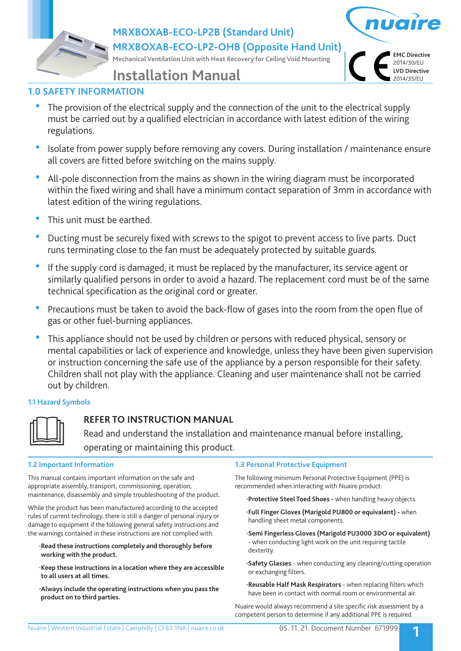**MRXBOXAB-ECO-LP2B (Standard Unit)**

**MRXBOXAB-ECO-LP2-OHB (Opposite Hand Unit)**

**Mechanical Ventilation Unit with Heat Recovery for Ceiling Void Mounting**



# **Installation Manual**

# **1.0 SAFETY INFORMATION**

- The provision of the electrical supply and the connection of the unit to the electrical supply must be carried out by a qualified electrician in accordance with latest edition of the wiring regulations.
- Isolate from power supply before removing any covers. During installation / maintenance ensure all covers are fitted before switching on the mains supply.
- All-pole disconnection from the mains as shown in the wiring diagram must be incorporated within the fixed wiring and shall have a minimum contact separation of 3mm in accordance with latest edition of the wiring regulations.
- This unit must be earthed.
- Ducting must be securely fixed with screws to the spigot to prevent access to live parts. Duct runs terminating close to the fan must be adequately protected by suitable guards.
- If the supply cord is damaged, it must be replaced by the manufacturer, its service agent or similarly qualified persons in order to avoid a hazard. The replacement cord must be of the same technical specification as the original cord or greater.
- Precautions must be taken to avoid the back-flow of gases into the room from the open flue of gas or other fuel-burning appliances.
- This appliance should not be used by children or persons with reduced physical, sensory or mental capabilities or lack of experience and knowledge, unless they have been given supervision or instruction concerning the safe use of the appliance by a person responsible for their safety. Children shall not play with the appliance. Cleaning and user maintenance shall not be carried out by children.

## **1.1 Hazard Symbols**



# **REFER TO INSTRUCTION MANUAL**

 Read and understand the installation and maintenance manual before installing, operating or maintaining this product.

## **1.2 Important Information**

This manual contains important information on the safe and appropriate assembly, transport, commissioning, operation, maintenance, disassembly and simple troubleshooting of the product.

While the product has been manufactured according to the accepted rules of current technology, there is still a danger of personal injury or damage to equipment if the following general safety instructions and the warnings contained in these instructions are not complied with.

- •**Read these instructions completely and thoroughly before working with the product.**
- •**Keep these instructions in a location where they are accessible to all users at all times.**
- •**Always include the operating instructions when you pass the product on to third parties.**

## **1.3 Personal Protective Equipment**

The following minimum Personal Protective Equipment (PPE) is recommended when interacting with Nuaire product:

•**Protective Steel Toed Shoes -** when handling heavy objects.

- •**Full Finger Gloves (Marigold PU800 or equivalent)** when handling sheet metal components.
- •**Semi Fingerless Gloves (Marigold PU3000 3DO or equivalent)**  - when conducting light work on the unit requiring tactile dexterity.
- •**Safety Glasses** when conducting any cleaning/cutting operation or exchanging filters.
- •**Reusable Half Mask Respirators**  when replacing filters which have been in contact with normal room or environmental air.

Nuaire would always recommend a site specific risk assessment by a competent person to determine if any additional PPE is required.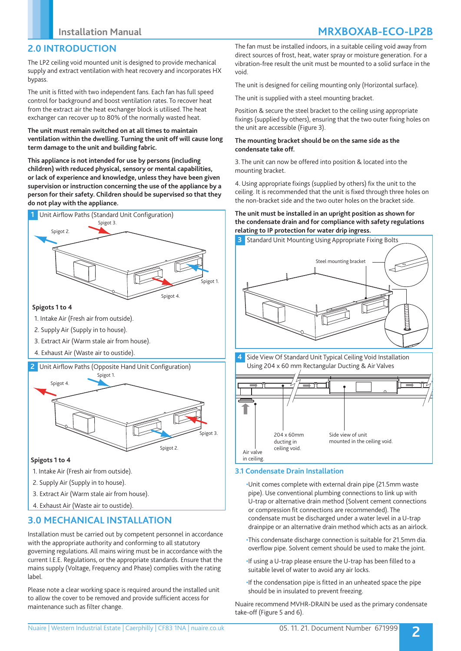# **2.0 INTRODUCTION**

The LP2 ceiling void mounted unit is designed to provide mechanical supply and extract ventilation with heat recovery and incorporates HX bypass.

The unit is fitted with two independent fans. Each fan has full speed control for background and boost ventilation rates. To recover heat from the extract air the heat exchanger block is utilised. The heat exchanger can recover up to 80% of the normally wasted heat.

### **The unit must remain switched on at all times to maintain ventilation within the dwelling. Turning the unit off will cause long term damage to the unit and building fabric.**

**This appliance is not intended for use by persons (including children) with reduced physical, sensory or mental capabilities, or lack of experience and knowledge, unless they have been given supervision or instruction concerning the use of the appliance by a person for their safety. Children should be supervised so that they do not play with the appliance.**



### **Spigots 1 to 4**

- 1. Intake Air (Fresh air from outside).
- 2. Supply Air (Supply in to house).
- 3. Extract Air (Warm stale air from house).
- 4. Exhaust Air (Waste air to oustide).

#### **2** Unit Airflow Paths (Opposite Hand Unit Configuration)



#### **Spigots 1 to 4**

- 1. Intake Air (Fresh air from outside).
- 2. Supply Air (Supply in to house).
- 3. Extract Air (Warm stale air from house).
- 4. Exhaust Air (Waste air to oustide).

# **3.0 MECHANICAL INSTALLATION**

Installation must be carried out by competent personnel in accordance with the appropriate authority and conforming to all statutory governing regulations. All mains wiring must be in accordance with the current I.E.E. Regulations, or the appropriate standards. Ensure that the mains supply (Voltage, Frequency and Phase) complies with the rating label.

Please note a clear working space is required around the installed unit to allow the cover to be removed and provide sufficient access for maintenance such as filter change.

The fan must be installed indoors, in a suitable ceiling void away from direct sources of frost, heat, water spray or moisture generation. For a vibration-free result the unit must be mounted to a solid surface in the void.

The unit is designed for ceiling mounting only (Horizontal surface).

The unit is supplied with a steel mounting bracket.

Position & secure the steel bracket to the ceiling using appropriate fixings (supplied by others), ensuring that the two outer fixing holes on the unit are accessible (Figure 3).

### **The mounting bracket should be on the same side as the condensate take off.**

3. The unit can now be offered into position & located into the mounting bracket.

4. Using appropriate fixings (supplied by others) fix the unit to the ceiling. It is recommended that the unit is fixed through three holes on the non-bracket side and the two outer holes on the bracket side.

### **The unit must be installed in an upright position as shown for the condensate drain and for compliance with safety regulations relating to IP protection for water drip ingress.**





## **3.1 Condensate Drain Installation**

•Unit comes complete with external drain pipe (21.5mm waste pipe). Use conventional plumbing connections to link up with U-trap or alternative drain method (Solvent cement connections or compression fit connections are recommended). The condensate must be discharged under a water level in a U-trap drainpipe or an alternative drain method which acts as an airlock.

- •This condensate discharge connection is suitable for 21.5mm dia. overflow pipe. Solvent cement should be used to make the joint.
- •If using a U-trap please ensure the U-trap has been filled to a suitable level of water to avoid any air locks.
- •If the condensation pipe is fitted in an unheated space the pipe should be in insulated to prevent freezing.

Nuaire recommend MVHR-DRAIN be used as the primary condensate take-off (Figure 5 and 6).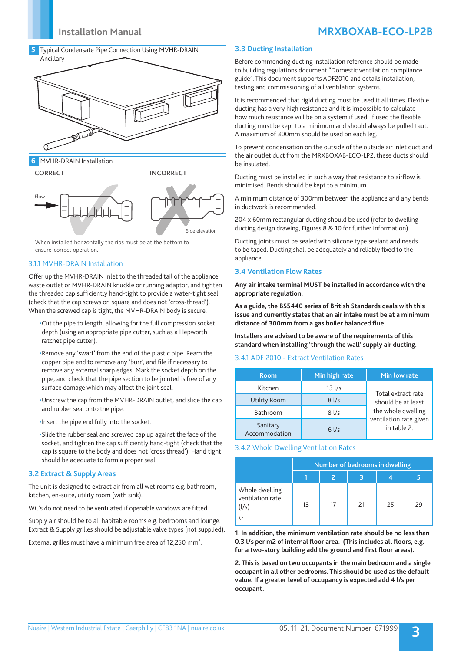# **Installation Manual MRXBOXAB-ECO-LP2B**



**6** MVHR-DRAIN Installation



#### 3.1.1 MVHR-DRAIN Installation

Offer up the MVHR-DRAIN inlet to the threaded tail of the appliance waste outlet or MVHR-DRAIN knuckle or running adaptor, and tighten the threaded cap sufficiently hand-tight to provide a water-tight seal (check that the cap screws on square and does not 'cross-thread'). When the screwed cap is tight, the MVHR-DRAIN body is secure.

- •Cut the pipe to length, allowing for the full compression socket depth (using an appropriate pipe cutter, such as a Hepworth ratchet pipe cutter).
- •Remove any 'swarf' from the end of the plastic pipe. Ream the copper pipe end to remove any 'burr', and file if necessary to remove any external sharp edges. Mark the socket depth on the pipe, and check that the pipe section to be jointed is free of any surface damage which may affect the joint seal.
- •Unscrew the cap from the MVHR-DRAIN outlet, and slide the cap and rubber seal onto the pipe.
- •Insert the pipe end fully into the socket.

•Slide the rubber seal and screwed cap up against the face of the socket, and tighten the cap sufficiently hand-tight (check that the cap is square to the body and does not 'cross thread'). Hand tight should be adequate to form a proper seal.

#### **3.2 Extract & Supply Areas**

The unit is designed to extract air from all wet rooms e.g. bathroom, kitchen, en-suite, utility room (with sink).

WC's do not need to be ventilated if openable windows are fitted.

Supply air should be to all habitable rooms e.g. bedrooms and lounge. Extract & Supply grilles should be adjustable valve types (not supplied).

External grilles must have a minimum free area of 12,250 mm<sup>2</sup>.

#### **3.3 Ducting Installation**

Before commencing ducting installation reference should be made to building regulations document "Domestic ventilation compliance guide". This document supports ADF2010 and details installation, testing and commissioning of all ventilation systems.

It is recommended that rigid ducting must be used it all times. Flexible ducting has a very high resistance and it is impossible to calculate how much resistance will be on a system if used. If used the flexible ducting must be kept to a minimum and should always be pulled taut. A maximum of 300mm should be used on each leg.

To prevent condensation on the outside of the outside air inlet duct and the air outlet duct from the MRXBOXAB-ECO-LP2, these ducts should be insulated.

Ducting must be installed in such a way that resistance to airflow is minimised. Bends should be kept to a minimum.

A minimum distance of 300mm between the appliance and any bends in ductwork is recommended.

204 x 60mm rectangular ducting should be used (refer to dwelling ducting design drawing, Figures 8 & 10 for further information).

Ducting joints must be sealed with silicone type sealant and needs to be taped. Ducting shall be adequately and reliably fixed to the appliance.

#### **3.4 Ventilation Flow Rates**

**Any air intake terminal MUST be installed in accordance with the appropriate regulation.**

**As a guide, the BS5440 series of British Standards deals with this issue and currently states that an air intake must be at a minimum distance of 300mm from a gas boiler balanced flue.**

**Installers are advised to be aware of the requirements of this standard when installing 'through the wall' supply air ducting.**

#### 3.4.1 ADF 2010 - Extract Ventilation Rates

| <b>Room</b>               | Min high rate | Min low rate                             |  |  |
|---------------------------|---------------|------------------------------------------|--|--|
| Kitchen                   | $13$ $1/s$    | Total extract rate<br>should be at least |  |  |
| Utility Room              | $8$ I/s       |                                          |  |  |
| Bathroom                  | 81/s          | the whole dwelling                       |  |  |
| Sanitary<br>Accommodation | $6$ I/s       | ventilation rate given<br>in table 2.    |  |  |

#### 3.4.2 Whole Dwelling Ventilation Rates

|                                                    | Number of bedrooms in dwelling |    |    |    |    |  |
|----------------------------------------------------|--------------------------------|----|----|----|----|--|
|                                                    |                                | 2  |    |    |    |  |
| Whole dwelling<br>ventilation rate<br>(1/s)<br>1,2 | 13                             | 17 | 21 | 25 | 29 |  |

**1. In addition, the minimum ventilation rate should be no less than 0.3 l/s per m2 of internal floor area. (This includes all floors, e.g. for a two-story building add the ground and first floor areas).**

**2. This is based on two occupants in the main bedroom and a single occupant in all other bedrooms. This should be used as the default value. If a greater level of occupancy is expected add 4 l/s per occupant.**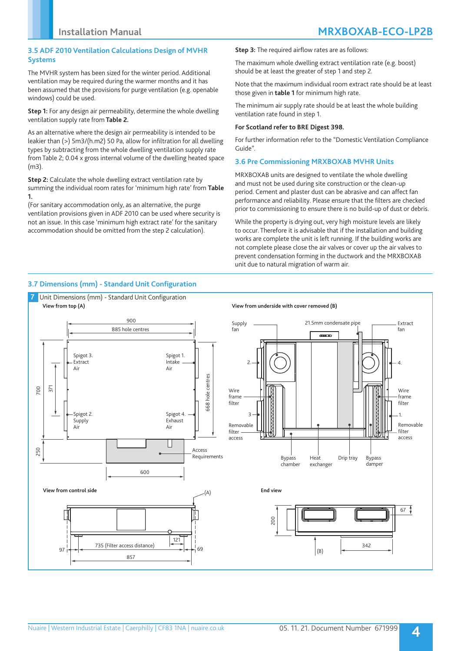## **3.5 ADF 2010 Ventilation Calculations Design of MVHR Systems**

The MVHR system has been sized for the winter period. Additional ventilation may be required during the warmer months and it has been assumed that the provisions for purge ventilation (e.g. openable windows) could be used.

**Step 1:** For any design air permeability, determine the whole dwelling ventilation supply rate from **Table 2.**

As an alternative where the design air permeability is intended to be leakier than (>) 5m3/(h.m2) 50 Pa, allow for infiltration for all dwelling types by subtracting from the whole dwelling ventilation supply rate from Table 2; 0.04 x gross internal volume of the dwelling heated space (m3).

**Step 2:** Calculate the whole dwelling extract ventilation rate by summing the individual room rates for 'minimum high rate' from **Table 1.** 

(For sanitary accommodation only, as an alternative, the purge ventilation provisions given in ADF 2010 can be used where security is not an issue. In this case 'minimum high extract rate' for the sanitary accommodation should be omitted from the step 2 calculation).

**Step 3:** The required airflow rates are as follows:

The maximum whole dwelling extract ventilation rate (e.g. boost) should be at least the greater of step 1 and step 2.

Note that the maximum individual room extract rate should be at least those given in **table 1** for minimum high rate.

The minimum air supply rate should be at least the whole building ventilation rate found in step 1.

### **For Scotland refer to BRE Digest 398.**

For further information refer to the "Domestic Ventilation Compliance Guide".

## **3.6 Pre Commissioning MRXBOXAB MVHR Units**

MRXBOXAB units are designed to ventilate the whole dwelling and must not be used during site construction or the clean-up period. Cement and plaster dust can be abrasive and can affect fan performance and reliability. Please ensure that the filters are checked prior to commissioning to ensure there is no build-up of dust or debris.

While the property is drying out, very high moisture levels are likely to occur. Therefore it is advisable that if the installation and building works are complete the unit is left running. If the building works are not complete please close the air valves or cover up the air valves to prevent condensation forming in the ductwork and the MRXBOXAB unit due to natural migration of warm air.

## **3.7 Dimensions (mm) - Standard Unit Configuration**

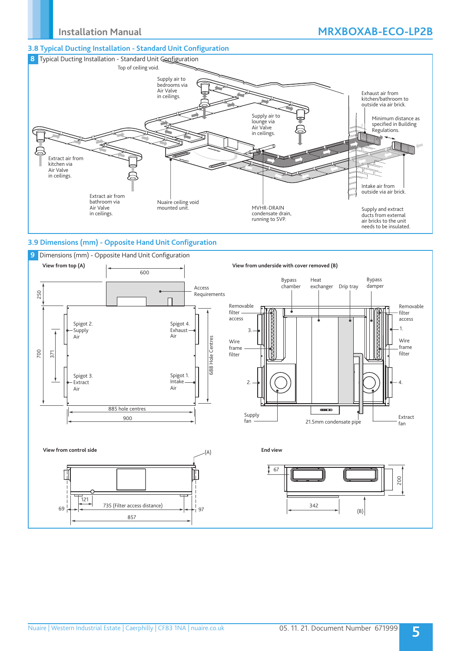## **3.8 Typical Ducting Installation - Standard Unit Configuration**



## **3.9 Dimensions (mm) - Opposite Hand Unit Configuration**

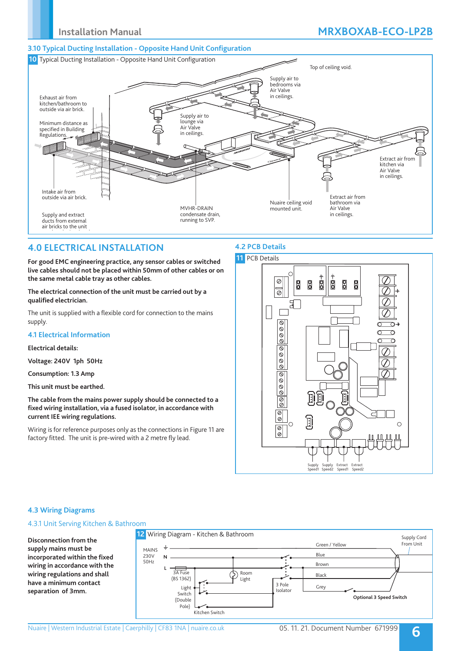# **Installation Manual MRXBOXAB-ECO-LP2B**

## **3.10 Typical Ducting Installation - Opposite Hand Unit Configuration**



## **4.0 ELECTRICAL INSTALLATION**

**For good EMC engineering practice, any sensor cables or switched live cables should not be placed within 50mm of other cables or on the same metal cable tray as other cables.**

**The electrical connection of the unit must be carried out by a qualified electrician.** 

The unit is supplied with a flexible cord for connection to the mains supply.

## **4.1 Electrical Information**

#### **Electrical details:**

**Voltage: 240V 1ph 50Hz**

**Consumption: 1.3 Amp** 

**This unit must be earthed.**

**The cable from the mains power supply should be connected to a fixed wiring installation, via a fused isolator, in accordance with current IEE wiring regulations.**

Wiring is for reference purposes only as the connections in Figure 11 are factory fitted. The unit is pre-wired with a 2 metre fly lead.

## **4.2 PCB Details**



## **4.3 Wiring Diagrams**

## 4.3.1 Unit Serving Kitchen & Bathroom

**Disconnection from the supply mains must be incorporated within the fixed wiring in accordance with the wiring regulations and shall have a minimum contact separation of 3mm.**

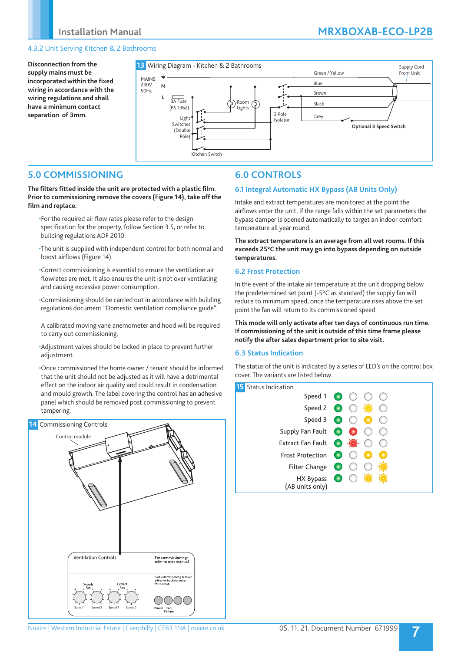# **Installation Manual MRXBOXAB-ECO-LP2B**

## 4.3.2 Unit Serving Kitchen & 2 Bathrooms

**Disconnection from the supply mains must be incorporated within the fixed wiring in accordance with the wiring regulations and shall have a minimum contact separation of 3mm.**



# **5.0 COMMISSIONING**

**The filters fitted inside the unit are protected with a plastic film. Prior to commissioning remove the covers (Figure 14), take off the film and replace.**

- •For the required air flow rates please refer to the design specification for the property, follow Section 3.5, or refer to building regulations ADF 2010.
- •The unit is supplied with independent control for both normal and boost airflows (Figure 14).

•Correct commissioning is essential to ensure the ventilation air flowrates are met. It also ensures the unit is not over ventilating and causing excessive power consumption.

- •Commissioning should be carried out in accordance with building regulations document "Domestic ventilation compliance guide".
- A calibrated moving vane anemometer and hood will be required to carry out commissioning.
- •Adjustment valves should be locked in place to prevent further adjustment.

•Once commissioned the home owner / tenant should be informed that the unit should not be adjusted as it will have a detrimental effect on the indoor air quality and could result in condensation and mould growth. The label covering the control has an adhesive panel which should be removed post commissioning to prevent tampering.



# **6.0 CONTROLS**

## **6.1 Integral Automatic HX Bypass (AB Units Only)**

Intake and extract temperatures are monitored at the point the airflows enter the unit, if the range falls within the set parameters the bypass damper is opened automatically to target an indoor comfort temperature all year round.

**The extract temperature is an average from all wet rooms. If this exceeds 25°C the unit may go into bypass depending on outside temperatures.**

## **6.2 Frost Protection**

In the event of the intake air temperature at the unit dropping below the predetermined set point (-5°C as standard) the supply fan will reduce to minimum speed, once the temperature rises above the set point the fan will return to its commissioned speed.

**This mode will only activate after ten days of continuous run time. If commissioning of the unit is outside of this time frame please notify the after sales department prior to site visit.**

## **6.3 Status Indication**

The status of the unit is indicated by a series of LED's on the control box cover. The variants are listed below.